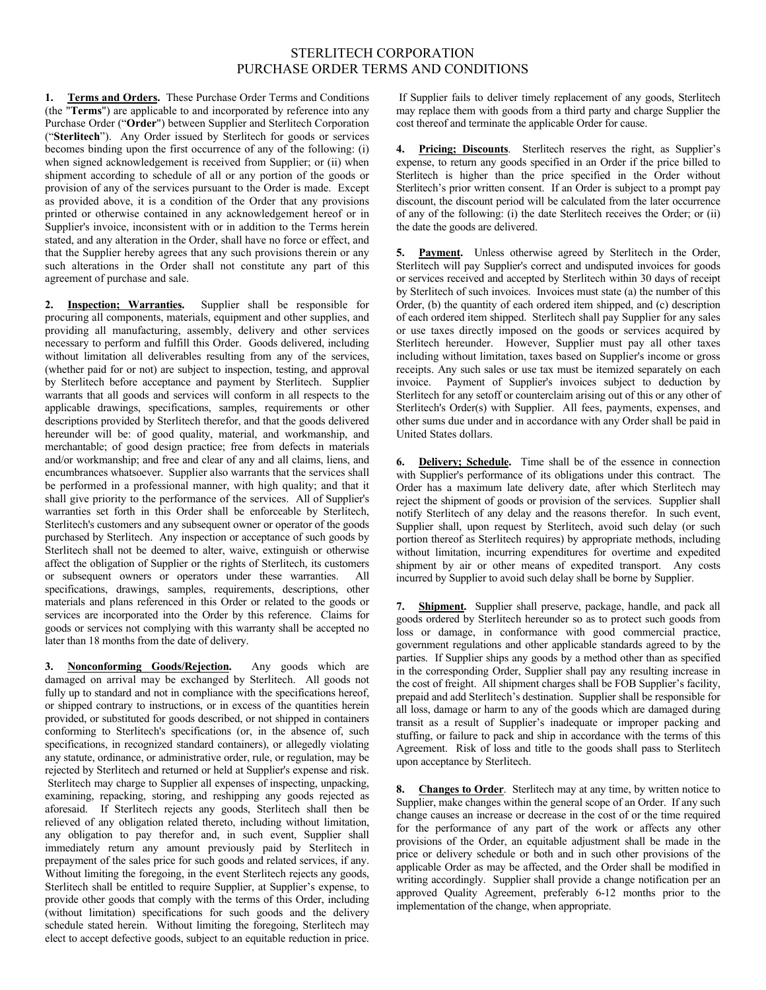## STERLITECH CORPORATION PURCHASE ORDER TERMS AND CONDITIONS

**1. Terms and Orders.** These Purchase Order Terms and Conditions (the "**Terms**") are applicable to and incorporated by reference into any Purchase Order ("**Order**") between Supplier and Sterlitech Corporation ("**Sterlitech**"). Any Order issued by Sterlitech for goods or services becomes binding upon the first occurrence of any of the following: (i) when signed acknowledgement is received from Supplier; or (ii) when shipment according to schedule of all or any portion of the goods or provision of any of the services pursuant to the Order is made. Except as provided above, it is a condition of the Order that any provisions printed or otherwise contained in any acknowledgement hereof or in Supplier's invoice, inconsistent with or in addition to the Terms herein stated, and any alteration in the Order, shall have no force or effect, and that the Supplier hereby agrees that any such provisions therein or any such alterations in the Order shall not constitute any part of this agreement of purchase and sale.

**2. Inspection; Warranties.** Supplier shall be responsible for procuring all components, materials, equipment and other supplies, and providing all manufacturing, assembly, delivery and other services necessary to perform and fulfill this Order. Goods delivered, including without limitation all deliverables resulting from any of the services, (whether paid for or not) are subject to inspection, testing, and approval by Sterlitech before acceptance and payment by Sterlitech. Supplier warrants that all goods and services will conform in all respects to the applicable drawings, specifications, samples, requirements or other descriptions provided by Sterlitech therefor, and that the goods delivered hereunder will be: of good quality, material, and workmanship, and merchantable; of good design practice; free from defects in materials and/or workmanship; and free and clear of any and all claims, liens, and encumbrances whatsoever. Supplier also warrants that the services shall be performed in a professional manner, with high quality; and that it shall give priority to the performance of the services. All of Supplier's warranties set forth in this Order shall be enforceable by Sterlitech, Sterlitech's customers and any subsequent owner or operator of the goods purchased by Sterlitech. Any inspection or acceptance of such goods by Sterlitech shall not be deemed to alter, waive, extinguish or otherwise affect the obligation of Supplier or the rights of Sterlitech, its customers or subsequent owners or operators under these warranties. All specifications, drawings, samples, requirements, descriptions, other materials and plans referenced in this Order or related to the goods or services are incorporated into the Order by this reference. Claims for goods or services not complying with this warranty shall be accepted no later than 18 months from the date of delivery.

**3. Nonconforming Goods/Rejection.** Any goods which are damaged on arrival may be exchanged by Sterlitech. All goods not fully up to standard and not in compliance with the specifications hereof, or shipped contrary to instructions, or in excess of the quantities herein provided, or substituted for goods described, or not shipped in containers conforming to Sterlitech's specifications (or, in the absence of, such specifications, in recognized standard containers), or allegedly violating any statute, ordinance, or administrative order, rule, or regulation, may be rejected by Sterlitech and returned or held at Supplier's expense and risk. Sterlitech may charge to Supplier all expenses of inspecting, unpacking, examining, repacking, storing, and reshipping any goods rejected as aforesaid. If Sterlitech rejects any goods, Sterlitech shall then be relieved of any obligation related thereto, including without limitation, any obligation to pay therefor and, in such event, Supplier shall immediately return any amount previously paid by Sterlitech in prepayment of the sales price for such goods and related services, if any. Without limiting the foregoing, in the event Sterlitech rejects any goods, Sterlitech shall be entitled to require Supplier, at Supplier's expense, to provide other goods that comply with the terms of this Order, including (without limitation) specifications for such goods and the delivery schedule stated herein. Without limiting the foregoing, Sterlitech may elect to accept defective goods, subject to an equitable reduction in price.

If Supplier fails to deliver timely replacement of any goods, Sterlitech may replace them with goods from a third party and charge Supplier the cost thereof and terminate the applicable Order for cause.

**4. Pricing; Discounts**. Sterlitech reserves the right, as Supplier's expense, to return any goods specified in an Order if the price billed to Sterlitech is higher than the price specified in the Order without Sterlitech's prior written consent. If an Order is subject to a prompt pay discount, the discount period will be calculated from the later occurrence of any of the following: (i) the date Sterlitech receives the Order; or (ii) the date the goods are delivered.

**5. Payment.** Unless otherwise agreed by Sterlitech in the Order, Sterlitech will pay Supplier's correct and undisputed invoices for goods or services received and accepted by Sterlitech within 30 days of receipt by Sterlitech of such invoices. Invoices must state (a) the number of this Order, (b) the quantity of each ordered item shipped, and (c) description of each ordered item shipped. Sterlitech shall pay Supplier for any sales or use taxes directly imposed on the goods or services acquired by Sterlitech hereunder. However, Supplier must pay all other taxes including without limitation, taxes based on Supplier's income or gross receipts. Any such sales or use tax must be itemized separately on each invoice. Payment of Supplier's invoices subject to deduction by Sterlitech for any setoff or counterclaim arising out of this or any other of Sterlitech's Order(s) with Supplier. All fees, payments, expenses, and other sums due under and in accordance with any Order shall be paid in United States dollars.

**6. Delivery; Schedule.** Time shall be of the essence in connection with Supplier's performance of its obligations under this contract. The Order has a maximum late delivery date, after which Sterlitech may reject the shipment of goods or provision of the services. Supplier shall notify Sterlitech of any delay and the reasons therefor. In such event, Supplier shall, upon request by Sterlitech, avoid such delay (or such portion thereof as Sterlitech requires) by appropriate methods, including without limitation, incurring expenditures for overtime and expedited shipment by air or other means of expedited transport. Any costs incurred by Supplier to avoid such delay shall be borne by Supplier.

**7. Shipment.** Supplier shall preserve, package, handle, and pack all goods ordered by Sterlitech hereunder so as to protect such goods from loss or damage, in conformance with good commercial practice, government regulations and other applicable standards agreed to by the parties. If Supplier ships any goods by a method other than as specified in the corresponding Order, Supplier shall pay any resulting increase in the cost of freight. All shipment charges shall be FOB Supplier's facility, prepaid and add Sterlitech's destination. Supplier shall be responsible for all loss, damage or harm to any of the goods which are damaged during transit as a result of Supplier's inadequate or improper packing and stuffing, or failure to pack and ship in accordance with the terms of this Agreement. Risk of loss and title to the goods shall pass to Sterlitech upon acceptance by Sterlitech.

**8. Changes to Order**. Sterlitech may at any time, by written notice to Supplier, make changes within the general scope of an Order. If any such change causes an increase or decrease in the cost of or the time required for the performance of any part of the work or affects any other provisions of the Order, an equitable adjustment shall be made in the price or delivery schedule or both and in such other provisions of the applicable Order as may be affected, and the Order shall be modified in writing accordingly. Supplier shall provide a change notification per an approved Quality Agreement, preferably 6-12 months prior to the implementation of the change, when appropriate.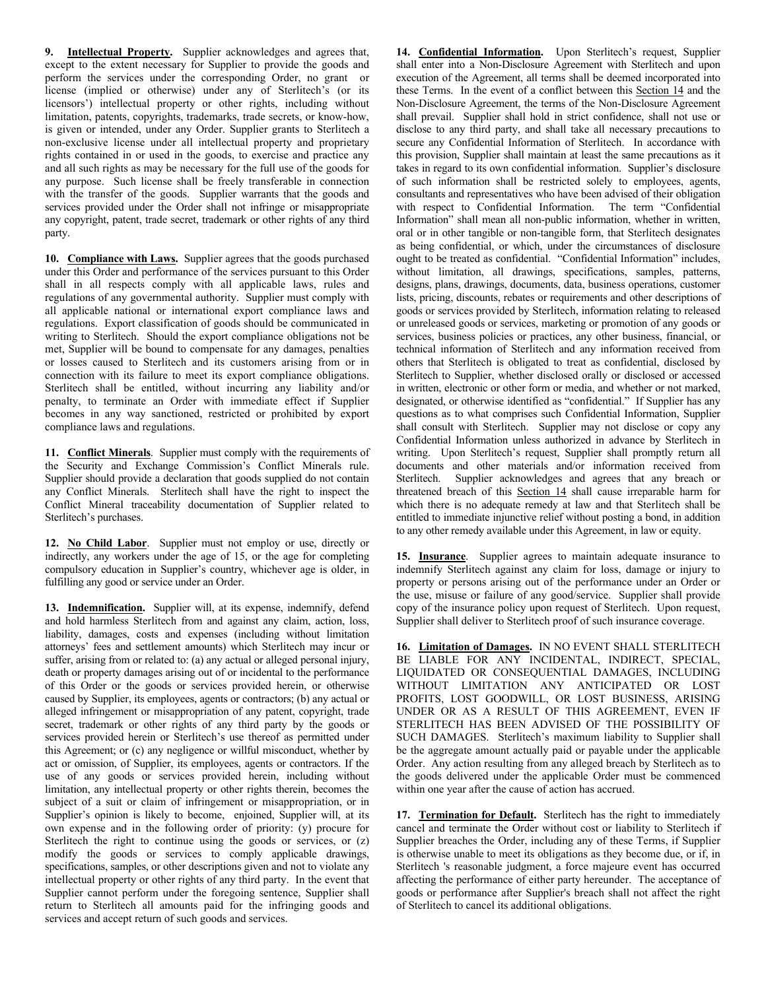**9. Intellectual Property.** Supplier acknowledges and agrees that, except to the extent necessary for Supplier to provide the goods and perform the services under the corresponding Order, no grant or license (implied or otherwise) under any of Sterlitech's (or its licensors') intellectual property or other rights, including without limitation, patents, copyrights, trademarks, trade secrets, or know-how, is given or intended, under any Order. Supplier grants to Sterlitech a non-exclusive license under all intellectual property and proprietary rights contained in or used in the goods, to exercise and practice any and all such rights as may be necessary for the full use of the goods for any purpose. Such license shall be freely transferable in connection with the transfer of the goods. Supplier warrants that the goods and services provided under the Order shall not infringe or misappropriate any copyright, patent, trade secret, trademark or other rights of any third party.

**10. Compliance with Laws.** Supplier agrees that the goods purchased under this Order and performance of the services pursuant to this Order shall in all respects comply with all applicable laws, rules and regulations of any governmental authority. Supplier must comply with all applicable national or international export compliance laws and regulations. Export classification of goods should be communicated in writing to Sterlitech. Should the export compliance obligations not be met, Supplier will be bound to compensate for any damages, penalties or losses caused to Sterlitech and its customers arising from or in connection with its failure to meet its export compliance obligations. Sterlitech shall be entitled, without incurring any liability and/or penalty, to terminate an Order with immediate effect if Supplier becomes in any way sanctioned, restricted or prohibited by export compliance laws and regulations.

**11. Conflict Minerals**. Supplier must comply with the requirements of the Security and Exchange Commission's Conflict Minerals rule. Supplier should provide a declaration that goods supplied do not contain any Conflict Minerals. Sterlitech shall have the right to inspect the Conflict Mineral traceability documentation of Supplier related to Sterlitech's purchases.

**12. No Child Labor**. Supplier must not employ or use, directly or indirectly, any workers under the age of 15, or the age for completing compulsory education in Supplier's country, whichever age is older, in fulfilling any good or service under an Order.

**13. Indemnification.** Supplier will, at its expense, indemnify, defend and hold harmless Sterlitech from and against any claim, action, loss, liability, damages, costs and expenses (including without limitation attorneys' fees and settlement amounts) which Sterlitech may incur or suffer, arising from or related to: (a) any actual or alleged personal injury, death or property damages arising out of or incidental to the performance of this Order or the goods or services provided herein, or otherwise caused by Supplier, its employees, agents or contractors; (b) any actual or alleged infringement or misappropriation of any patent, copyright, trade secret, trademark or other rights of any third party by the goods or services provided herein or Sterlitech's use thereof as permitted under this Agreement; or (c) any negligence or willful misconduct, whether by act or omission, of Supplier, its employees, agents or contractors. If the use of any goods or services provided herein, including without limitation, any intellectual property or other rights therein, becomes the subject of a suit or claim of infringement or misappropriation, or in Supplier's opinion is likely to become, enjoined, Supplier will, at its own expense and in the following order of priority: (y) procure for Sterlitech the right to continue using the goods or services, or (z) modify the goods or services to comply applicable drawings, specifications, samples, or other descriptions given and not to violate any intellectual property or other rights of any third party. In the event that Supplier cannot perform under the foregoing sentence, Supplier shall return to Sterlitech all amounts paid for the infringing goods and services and accept return of such goods and services.

**14. Confidential Information.** Upon Sterlitech's request, Supplier shall enter into a Non-Disclosure Agreement with Sterlitech and upon execution of the Agreement, all terms shall be deemed incorporated into these Terms. In the event of a conflict between this Section 14 and the Non-Disclosure Agreement, the terms of the Non-Disclosure Agreement shall prevail. Supplier shall hold in strict confidence, shall not use or disclose to any third party, and shall take all necessary precautions to secure any Confidential Information of Sterlitech. In accordance with this provision, Supplier shall maintain at least the same precautions as it takes in regard to its own confidential information. Supplier's disclosure of such information shall be restricted solely to employees, agents, consultants and representatives who have been advised of their obligation with respect to Confidential Information. The term "Confidential Information" shall mean all non-public information, whether in written, oral or in other tangible or non-tangible form, that Sterlitech designates as being confidential, or which, under the circumstances of disclosure ought to be treated as confidential. "Confidential Information" includes, without limitation, all drawings, specifications, samples, patterns, designs, plans, drawings, documents, data, business operations, customer lists, pricing, discounts, rebates or requirements and other descriptions of goods or services provided by Sterlitech, information relating to released or unreleased goods or services, marketing or promotion of any goods or services, business policies or practices, any other business, financial, or technical information of Sterlitech and any information received from others that Sterlitech is obligated to treat as confidential, disclosed by Sterlitech to Supplier, whether disclosed orally or disclosed or accessed in written, electronic or other form or media, and whether or not marked, designated, or otherwise identified as "confidential." If Supplier has any questions as to what comprises such Confidential Information, Supplier shall consult with Sterlitech. Supplier may not disclose or copy any Confidential Information unless authorized in advance by Sterlitech in writing. Upon Sterlitech's request, Supplier shall promptly return all documents and other materials and/or information received from Sterlitech. Supplier acknowledges and agrees that any breach or threatened breach of this Section 14 shall cause irreparable harm for which there is no adequate remedy at law and that Sterlitech shall be entitled to immediate injunctive relief without posting a bond, in addition to any other remedy available under this Agreement, in law or equity.

**15. Insurance**. Supplier agrees to maintain adequate insurance to indemnify Sterlitech against any claim for loss, damage or injury to property or persons arising out of the performance under an Order or the use, misuse or failure of any good/service. Supplier shall provide copy of the insurance policy upon request of Sterlitech. Upon request, Supplier shall deliver to Sterlitech proof of such insurance coverage.

**16. Limitation of Damages.** IN NO EVENT SHALL STERLITECH BE LIABLE FOR ANY INCIDENTAL, INDIRECT, SPECIAL, LIQUIDATED OR CONSEQUENTIAL DAMAGES, INCLUDING WITHOUT LIMITATION ANY ANTICIPATED OR LOST PROFITS, LOST GOODWILL, OR LOST BUSINESS, ARISING UNDER OR AS A RESULT OF THIS AGREEMENT, EVEN IF STERLITECH HAS BEEN ADVISED OF THE POSSIBILITY OF SUCH DAMAGES. Sterlitech's maximum liability to Supplier shall be the aggregate amount actually paid or payable under the applicable Order. Any action resulting from any alleged breach by Sterlitech as to the goods delivered under the applicable Order must be commenced within one year after the cause of action has accrued.

**17. Termination for Default.** Sterlitech has the right to immediately cancel and terminate the Order without cost or liability to Sterlitech if Supplier breaches the Order, including any of these Terms, if Supplier is otherwise unable to meet its obligations as they become due, or if, in Sterlitech 's reasonable judgment, a force majeure event has occurred affecting the performance of either party hereunder. The acceptance of goods or performance after Supplier's breach shall not affect the right of Sterlitech to cancel its additional obligations.